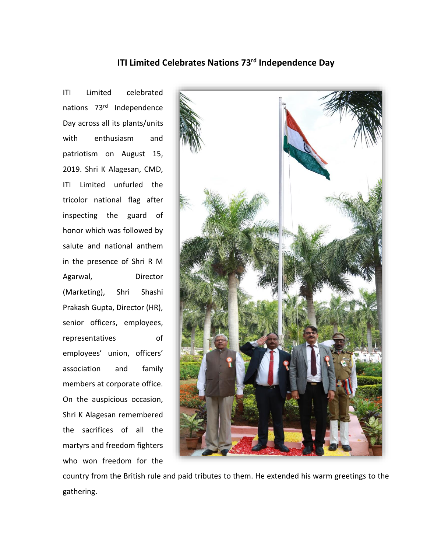## **ITI Limited Celebrates Nations 73rd Independence Day**

ITI Limited celebrated nations 73rd Independence Day across all its plants/units with enthusiasm and patriotism on August 15, 2019. Shri K Alagesan, CMD, ITI Limited unfurled the tricolor national flag after inspecting the guard of honor which was followed by salute and national anthem in the presence of Shri R M Agarwal, Director (Marketing), Shri Shashi Prakash Gupta, Director (HR), senior officers, employees, representatives of employees' union, officers' association and family members at corporate office. On the auspicious occasion, Shri K Alagesan remembered the sacrifices of all the martyrs and freedom fighters who won freedom for the



country from the British rule and paid tributes to them. He extended his warm greetings to the gathering.